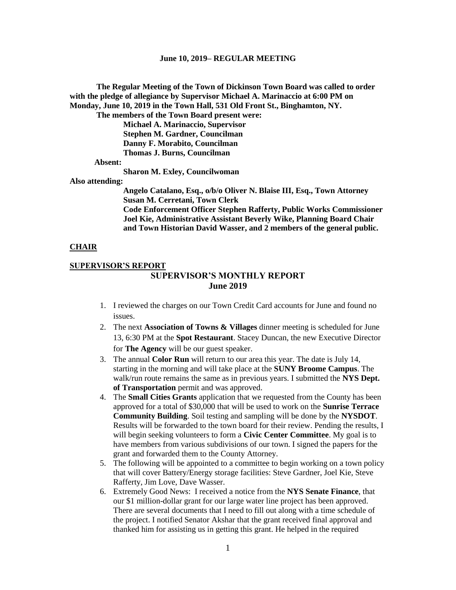**The Regular Meeting of the Town of Dickinson Town Board was called to order with the pledge of allegiance by Supervisor Michael A. Marinaccio at 6:00 PM on Monday, June 10, 2019 in the Town Hall, 531 Old Front St., Binghamton, NY.** 

**The members of the Town Board present were:**

**Michael A. Marinaccio, Supervisor Stephen M. Gardner, Councilman Danny F. Morabito, Councilman Thomas J. Burns, Councilman**

 **Absent:**

**Sharon M. Exley, Councilwoman**

**Also attending:**

**Angelo Catalano, Esq., o/b/o Oliver N. Blaise III, Esq., Town Attorney Susan M. Cerretani, Town Clerk Code Enforcement Officer Stephen Rafferty, Public Works Commissioner Joel Kie, Administrative Assistant Beverly Wike, Planning Board Chair and Town Historian David Wasser, and 2 members of the general public.**

#### **CHAIR**

## **SUPERVISOR'S REPORT SUPERVISOR'S MONTHLY REPORT June 2019**

- 1. I reviewed the charges on our Town Credit Card accounts for June and found no issues.
- 2. The next **Association of Towns & Villages** dinner meeting is scheduled for June 13, 6:30 PM at the **Spot Restaurant**. Stacey Duncan, the new Executive Director for **The Agency** will be our guest speaker.
- 3. The annual **Color Run** will return to our area this year. The date is July 14, starting in the morning and will take place at the **SUNY Broome Campus**. The walk/run route remains the same as in previous years. I submitted the **NYS Dept. of Transportation** permit and was approved.
- 4. The **Small Cities Grants** application that we requested from the County has been approved for a total of \$30,000 that will be used to work on the **Sunrise Terrace Community Building**. Soil testing and sampling will be done by the **NYSDOT**. Results will be forwarded to the town board for their review. Pending the results, I will begin seeking volunteers to form a **Civic Center Committee**. My goal is to have members from various subdivisions of our town. I signed the papers for the grant and forwarded them to the County Attorney.
- 5. The following will be appointed to a committee to begin working on a town policy that will cover Battery/Energy storage facilities: Steve Gardner, Joel Kie, Steve Rafferty, Jim Love, Dave Wasser.
- 6. Extremely Good News: I received a notice from the **NYS Senate Finance**, that our \$1 million-dollar grant for our large water line project has been approved. There are several documents that I need to fill out along with a time schedule of the project. I notified Senator Akshar that the grant received final approval and thanked him for assisting us in getting this grant. He helped in the required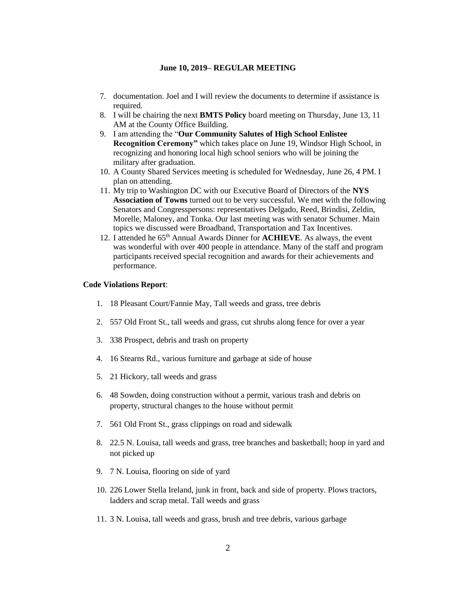- 7. documentation. Joel and I will review the documents to determine if assistance is required.
- 8. I will be chairing the next **BMTS Policy** board meeting on Thursday, June 13, 11 AM at the County Office Building.
- 9. I am attending the "**Our Community Salutes of High School Enlistee Recognition Ceremony"** which takes place on June 19, Windsor High School, in recognizing and honoring local high school seniors who will be joining the military after graduation.
- 10. A County Shared Services meeting is scheduled for Wednesday, June 26, 4 PM. I plan on attending.
- 11. My trip to Washington DC with our Executive Board of Directors of the **NYS Association of Towns** turned out to be very successful. We met with the following Senators and Congresspersons: representatives Delgado, Reed, Brindisi, Zeldin, Morelle, Maloney, and Tonka. Our last meeting was with senator Schumer. Main topics we discussed were Broadband, Transportation and Tax Incentives.
- 12. I attended he 65th Annual Awards Dinner for **ACHIEVE**. As always, the event was wonderful with over 400 people in attendance. Many of the staff and program participants received special recognition and awards for their achievements and performance.

#### **Code Violations Report**:

- 1. 18 Pleasant Court/Fannie May, Tall weeds and grass, tree debris
- 2. 557 Old Front St., tall weeds and grass, cut shrubs along fence for over a year
- 3. 338 Prospect, debris and trash on property
- 4. 16 Stearns Rd., various furniture and garbage at side of house
- 5. 21 Hickory, tall weeds and grass
- 6. 48 Sowden, doing construction without a permit, various trash and debris on property, structural changes to the house without permit
- 7. 561 Old Front St., grass clippings on road and sidewalk
- 8. 22.5 N. Louisa, tall weeds and grass, tree branches and basketball; hoop in yard and not picked up
- 9. 7 N. Louisa, flooring on side of yard
- 10. 226 Lower Stella Ireland, junk in front, back and side of property. Plows tractors, ladders and scrap metal. Tall weeds and grass
- 11. 3 N. Louisa, tall weeds and grass, brush and tree debris, various garbage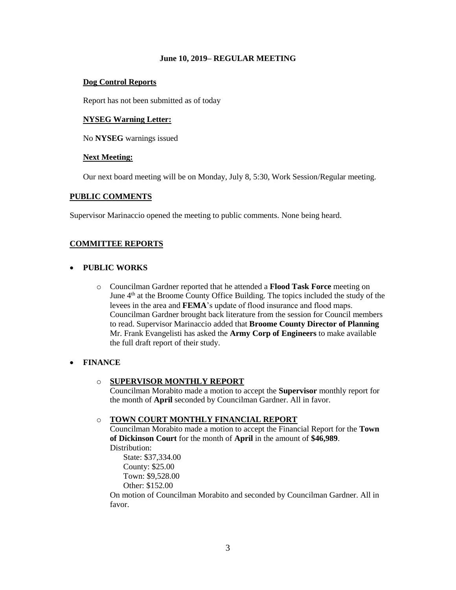## **Dog Control Reports**

Report has not been submitted as of today

## **NYSEG Warning Letter:**

No **NYSEG** warnings issued

## **Next Meeting:**

Our next board meeting will be on Monday, July 8, 5:30, Work Session/Regular meeting.

## **PUBLIC COMMENTS**

Supervisor Marinaccio opened the meeting to public comments. None being heard.

# **COMMITTEE REPORTS**

## • **PUBLIC WORKS**

o Councilman Gardner reported that he attended a **Flood Task Force** meeting on June  $4<sup>th</sup>$  at the Broome County Office Building. The topics included the study of the levees in the area and **FEMA**'s update of flood insurance and flood maps. Councilman Gardner brought back literature from the session for Council members to read. Supervisor Marinaccio added that **Broome County Director of Planning** Mr. Frank Evangelisti has asked the **Army Corp of Engineers** to make available the full draft report of their study.

# • **FINANCE**

# o **SUPERVISOR MONTHLY REPORT**

Councilman Morabito made a motion to accept the **Supervisor** monthly report for the month of **April** seconded by Councilman Gardner. All in favor.

# o **TOWN COURT MONTHLY FINANCIAL REPORT**

Councilman Morabito made a motion to accept the Financial Report for the **Town of Dickinson Court** for the month of **April** in the amount of **\$46,989**. Distribution:

State: \$37,334.00 County: \$25.00 Town: \$9,528.00 Other: \$152.00

On motion of Councilman Morabito and seconded by Councilman Gardner. All in favor.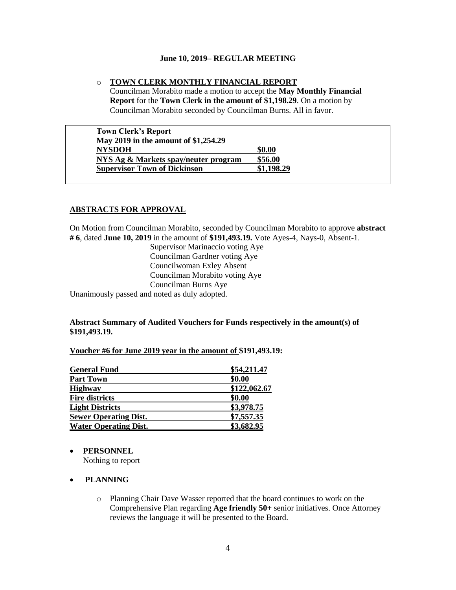## o **TOWN CLERK MONTHLY FINANCIAL REPORT**

Councilman Morabito made a motion to accept the **May Monthly Financial Report** for the **Town Clerk in the amount of \$1,198.29**. On a motion by Councilman Morabito seconded by Councilman Burns. All in favor.

| <b>Town Clerk's Report</b>           |            |
|--------------------------------------|------------|
| May 2019 in the amount of \$1,254.29 |            |
| <b>NYSDOH</b>                        | \$0.00     |
| NYS Ag & Markets spay/neuter program | \$56.00    |
| <b>Supervisor Town of Dickinson</b>  | \$1,198.29 |

## **ABSTRACTS FOR APPROVAL**

On Motion from Councilman Morabito, seconded by Councilman Morabito to approve **abstract # 6**, dated **June 10, 2019** in the amount of **\$191,493.19.** Vote Ayes-4, Nays-0, Absent-1.

> Supervisor Marinaccio voting Aye Councilman Gardner voting Aye Councilwoman Exley Absent Councilman Morabito voting Aye Councilman Burns Aye

Unanimously passed and noted as duly adopted.

# **Abstract Summary of Audited Vouchers for Funds respectively in the amount(s) of \$191,493.19.**

#### **Voucher #6 for June 2019 year in the amount of \$191,493.19:**

| <b>General Fund</b>          | \$54,211.47  |
|------------------------------|--------------|
| <b>Part Town</b>             | \$0.00       |
| <b>Highway</b>               | \$122,062.67 |
| <b>Fire districts</b>        | \$0.00       |
| <b>Light Districts</b>       | \$3,978.75   |
| <b>Sewer Operating Dist.</b> | \$7,557.35   |
| <b>Water Operating Dist.</b> | \$3,682.95   |

#### • **PERSONNEL**

Nothing to report

# • **PLANNING**

o Planning Chair Dave Wasser reported that the board continues to work on the Comprehensive Plan regarding **Age friendly 50+** senior initiatives. Once Attorney reviews the language it will be presented to the Board.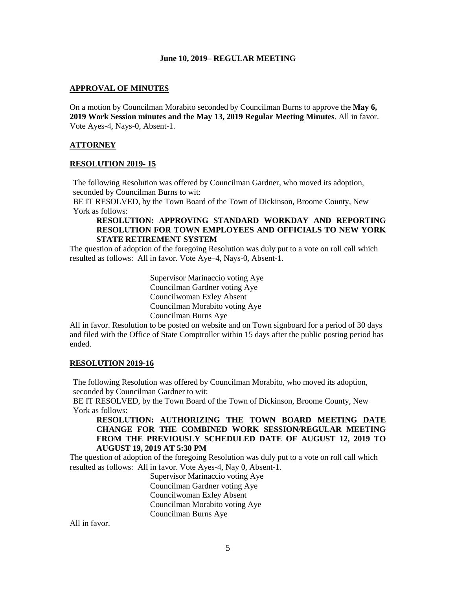## **APPROVAL OF MINUTES**

On a motion by Councilman Morabito seconded by Councilman Burns to approve the **May 6, 2019 Work Session minutes and the May 13, 2019 Regular Meeting Minutes**. All in favor. Vote Ayes-4, Nays-0, Absent-1.

## **ATTORNEY**

#### **RESOLUTION 2019- 15**

The following Resolution was offered by Councilman Gardner, who moved its adoption, seconded by Councilman Burns to wit:

BE IT RESOLVED, by the Town Board of the Town of Dickinson, Broome County, New York as follows:

## **RESOLUTION: APPROVING STANDARD WORKDAY AND REPORTING RESOLUTION FOR TOWN EMPLOYEES AND OFFICIALS TO NEW YORK STATE RETIREMENT SYSTEM**

The question of adoption of the foregoing Resolution was duly put to a vote on roll call which resulted as follows: All in favor. Vote Aye–4, Nays-0, Absent-1.

> Supervisor Marinaccio voting Aye Councilman Gardner voting Aye Councilwoman Exley Absent Councilman Morabito voting Aye Councilman Burns Aye

All in favor. Resolution to be posted on website and on Town signboard for a period of 30 days and filed with the Office of State Comptroller within 15 days after the public posting period has ended.

#### **RESOLUTION 2019-16**

The following Resolution was offered by Councilman Morabito, who moved its adoption, seconded by Councilman Gardner to wit:

BE IT RESOLVED, by the Town Board of the Town of Dickinson, Broome County, New York as follows:

**RESOLUTION: AUTHORIZING THE TOWN BOARD MEETING DATE CHANGE FOR THE COMBINED WORK SESSION/REGULAR MEETING FROM THE PREVIOUSLY SCHEDULED DATE OF AUGUST 12, 2019 TO AUGUST 19, 2019 AT 5:30 PM**

The question of adoption of the foregoing Resolution was duly put to a vote on roll call which resulted as follows: All in favor. Vote Ayes-4, Nay 0, Absent-1.

> Supervisor Marinaccio voting Aye Councilman Gardner voting Aye Councilwoman Exley Absent Councilman Morabito voting Aye Councilman Burns Aye

All in favor.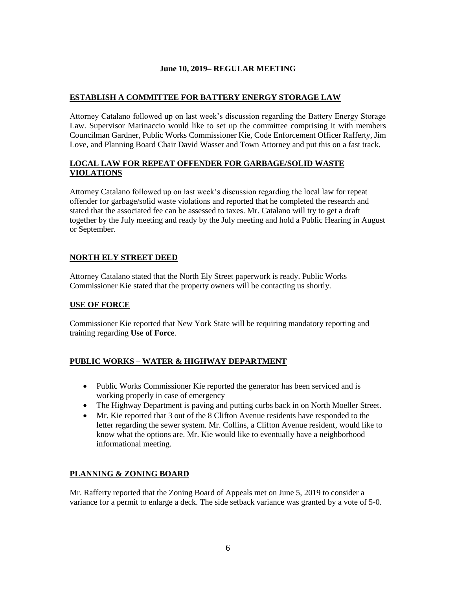# **ESTABLISH A COMMITTEE FOR BATTERY ENERGY STORAGE LAW**

Attorney Catalano followed up on last week's discussion regarding the Battery Energy Storage Law. Supervisor Marinaccio would like to set up the committee comprising it with members Councilman Gardner, Public Works Commissioner Kie, Code Enforcement Officer Rafferty, Jim Love, and Planning Board Chair David Wasser and Town Attorney and put this on a fast track.

# **LOCAL LAW FOR REPEAT OFFENDER FOR GARBAGE/SOLID WASTE VIOLATIONS**

Attorney Catalano followed up on last week's discussion regarding the local law for repeat offender for garbage/solid waste violations and reported that he completed the research and stated that the associated fee can be assessed to taxes. Mr. Catalano will try to get a draft together by the July meeting and ready by the July meeting and hold a Public Hearing in August or September.

# **NORTH ELY STREET DEED**

Attorney Catalano stated that the North Ely Street paperwork is ready. Public Works Commissioner Kie stated that the property owners will be contacting us shortly.

# **USE OF FORCE**

Commissioner Kie reported that New York State will be requiring mandatory reporting and training regarding **Use of Force**.

# **PUBLIC WORKS – WATER & HIGHWAY DEPARTMENT**

- Public Works Commissioner Kie reported the generator has been serviced and is working properly in case of emergency
- The Highway Department is paving and putting curbs back in on North Moeller Street.
- Mr. Kie reported that 3 out of the 8 Clifton Avenue residents have responded to the letter regarding the sewer system. Mr. Collins, a Clifton Avenue resident, would like to know what the options are. Mr. Kie would like to eventually have a neighborhood informational meeting.

# **PLANNING & ZONING BOARD**

Mr. Rafferty reported that the Zoning Board of Appeals met on June 5, 2019 to consider a variance for a permit to enlarge a deck. The side setback variance was granted by a vote of 5-0.